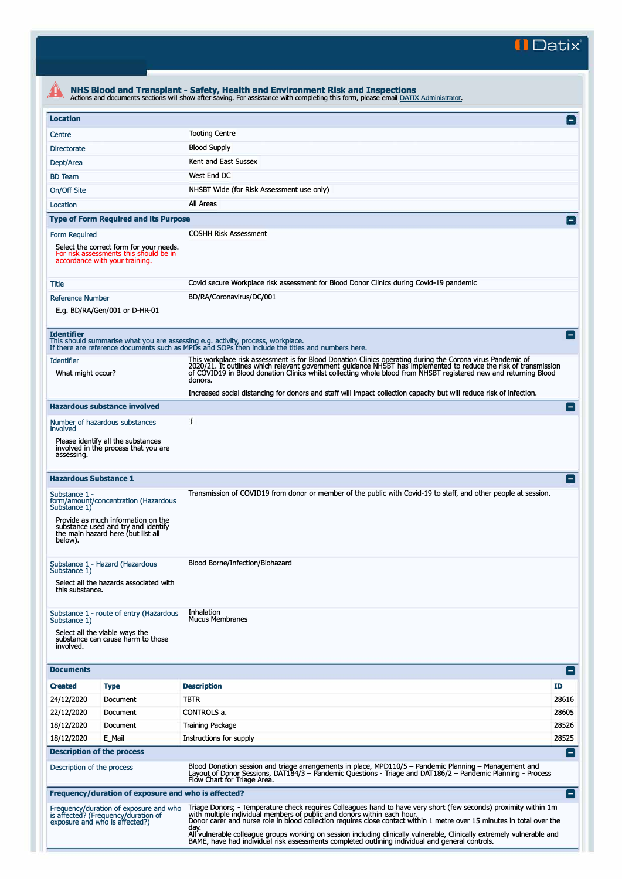**II Datix"** 

|                                          |                                                                                                                                                         | NHS Blood and Transplant - Safety, Health and Environment Risk and Inspections<br>Actions and documents sections will show after saving. For assistance with completing this form, please email DATIX Administrator.                                                                                                                                                                                                                                     |                 |  |  |
|------------------------------------------|---------------------------------------------------------------------------------------------------------------------------------------------------------|----------------------------------------------------------------------------------------------------------------------------------------------------------------------------------------------------------------------------------------------------------------------------------------------------------------------------------------------------------------------------------------------------------------------------------------------------------|-----------------|--|--|
| <b>Location</b>                          |                                                                                                                                                         |                                                                                                                                                                                                                                                                                                                                                                                                                                                          | $\mathsf{I}$    |  |  |
| Centre                                   |                                                                                                                                                         | <b>Tooting Centre</b>                                                                                                                                                                                                                                                                                                                                                                                                                                    |                 |  |  |
| <b>Directorate</b>                       |                                                                                                                                                         | <b>Blood Supply</b>                                                                                                                                                                                                                                                                                                                                                                                                                                      |                 |  |  |
| Dept/Area                                |                                                                                                                                                         | Kent and East Sussex                                                                                                                                                                                                                                                                                                                                                                                                                                     |                 |  |  |
| <b>BD</b> Team                           |                                                                                                                                                         | West End DC                                                                                                                                                                                                                                                                                                                                                                                                                                              |                 |  |  |
| On/Off Site                              |                                                                                                                                                         | NHSBT Wide (for Risk Assessment use only)                                                                                                                                                                                                                                                                                                                                                                                                                |                 |  |  |
| Location                                 |                                                                                                                                                         | All Areas                                                                                                                                                                                                                                                                                                                                                                                                                                                |                 |  |  |
|                                          | <b>Type of Form Required and its Purpose</b>                                                                                                            |                                                                                                                                                                                                                                                                                                                                                                                                                                                          | $\vert - \vert$ |  |  |
| Form Required                            | Select the correct form for your needs.<br>For risk assessments this should be in<br>accordance with your training.                                     | <b>COSHH Risk Assessment</b>                                                                                                                                                                                                                                                                                                                                                                                                                             |                 |  |  |
| Title                                    |                                                                                                                                                         | Covid secure Workplace risk assessment for Blood Donor Clinics during Covid-19 pandemic                                                                                                                                                                                                                                                                                                                                                                  |                 |  |  |
| <b>Reference Number</b>                  | E.g. BD/RA/Gen/001 or D-HR-01                                                                                                                           | BD/RA/Coronavirus/DC/001                                                                                                                                                                                                                                                                                                                                                                                                                                 |                 |  |  |
| <b>Identifier</b>                        |                                                                                                                                                         | This should summarise what you are assessing e.g. activity, process, workplace.<br>If there are reference documents such as MPDs and SOPs then include the titles and numbers here.                                                                                                                                                                                                                                                                      |                 |  |  |
| <b>Identifier</b><br>What might occur?   |                                                                                                                                                         | This workplace risk assessment is for Blood Donation Clinics operating during the Corona virus Pandemic of<br>2020/21. It outlines which relevant government guidance NHSBT has implemented to reduce the risk of transmission<br>of COVID19 in Blood donation Clinics whilst collecting whole blood from NHSBT registered new and returning Blood<br>donors.                                                                                            |                 |  |  |
|                                          |                                                                                                                                                         | Increased social distancing for donors and staff will impact collection capacity but will reduce risk of infection.                                                                                                                                                                                                                                                                                                                                      |                 |  |  |
|                                          | <b>Hazardous substance involved</b>                                                                                                                     |                                                                                                                                                                                                                                                                                                                                                                                                                                                          | $\equiv$        |  |  |
| involved                                 | Number of hazardous substances                                                                                                                          | 1                                                                                                                                                                                                                                                                                                                                                                                                                                                        |                 |  |  |
| assessing.                               | Please identify all the substances<br>involved in the process that you are                                                                              |                                                                                                                                                                                                                                                                                                                                                                                                                                                          |                 |  |  |
| <b>Hazardous Substance 1</b>             |                                                                                                                                                         |                                                                                                                                                                                                                                                                                                                                                                                                                                                          |                 |  |  |
| Substance 1 -<br>Substance 1)<br>below). | form/amount/concentration (Hazardous<br>Provide as much information on the<br>substance used and try and identify<br>the main hazard here (but list all | Transmission of COVID19 from donor or member of the public with Covid-19 to staff, and other people at session.                                                                                                                                                                                                                                                                                                                                          |                 |  |  |
| Substance 1)<br>this substance.          | Substance 1 - Hazard (Hazardous<br>Select all the hazards associated with                                                                               | Blood Borne/Infection/Biohazard                                                                                                                                                                                                                                                                                                                                                                                                                          |                 |  |  |
| Substance 1)<br>involved.                | Substance 1 - route of entry (Hazardous<br>Select all the viable ways the<br>substance can cause harm to those                                          | Inhalation<br><b>Mucus Membranes</b>                                                                                                                                                                                                                                                                                                                                                                                                                     |                 |  |  |
| <b>Documents</b>                         |                                                                                                                                                         |                                                                                                                                                                                                                                                                                                                                                                                                                                                          | Ε               |  |  |
| <b>Created</b>                           | <b>Type</b>                                                                                                                                             | <b>Description</b>                                                                                                                                                                                                                                                                                                                                                                                                                                       | ID.             |  |  |
| 24/12/2020                               | Document                                                                                                                                                | <b>TBTR</b>                                                                                                                                                                                                                                                                                                                                                                                                                                              | 28616           |  |  |
| 22/12/2020                               | Document                                                                                                                                                | CONTROLS a.                                                                                                                                                                                                                                                                                                                                                                                                                                              | 28605           |  |  |
| 18/12/2020                               | Document                                                                                                                                                | <b>Training Package</b>                                                                                                                                                                                                                                                                                                                                                                                                                                  | 28526           |  |  |
| 18/12/2020                               | E Mail                                                                                                                                                  | Instructions for supply                                                                                                                                                                                                                                                                                                                                                                                                                                  | 28525           |  |  |
| <b>Description of the process</b>        |                                                                                                                                                         |                                                                                                                                                                                                                                                                                                                                                                                                                                                          | Е.              |  |  |
| Description of the process               |                                                                                                                                                         | Blood Donation session and triage arrangements in place, MPD110/5 - Pandemic Planning - Management and<br>Layout of Donor Sessions, DAT184/3 – Pandemic Questions - Triage and DAT186/2 – Pandemic Planning - Process<br>Flow Chart for Triage Area.                                                                                                                                                                                                     |                 |  |  |
|                                          | Frequency/duration of exposure and who is affected?                                                                                                     |                                                                                                                                                                                                                                                                                                                                                                                                                                                          | l-l             |  |  |
|                                          | Frequency/duration of exposure and who<br>is affected? (Frequency/duration of<br>exposure and who is affected?)                                         | Triage Donors; - Temperature check requires Colleagues hand to have very short (few seconds) proximity within 1m<br>with multiple individual members of public and donors within each hour.<br>Donor carer and nurse role in blood collection requires close contact within 1 metre over 15 minutes in total over the<br>day.<br>All vulnerable colleague groups working on session including clinically vulnerable, Clinically extremely vulnerable and |                 |  |  |
|                                          |                                                                                                                                                         | BAME, have had individual risk assessments completed outlining individual and general controls.                                                                                                                                                                                                                                                                                                                                                          |                 |  |  |